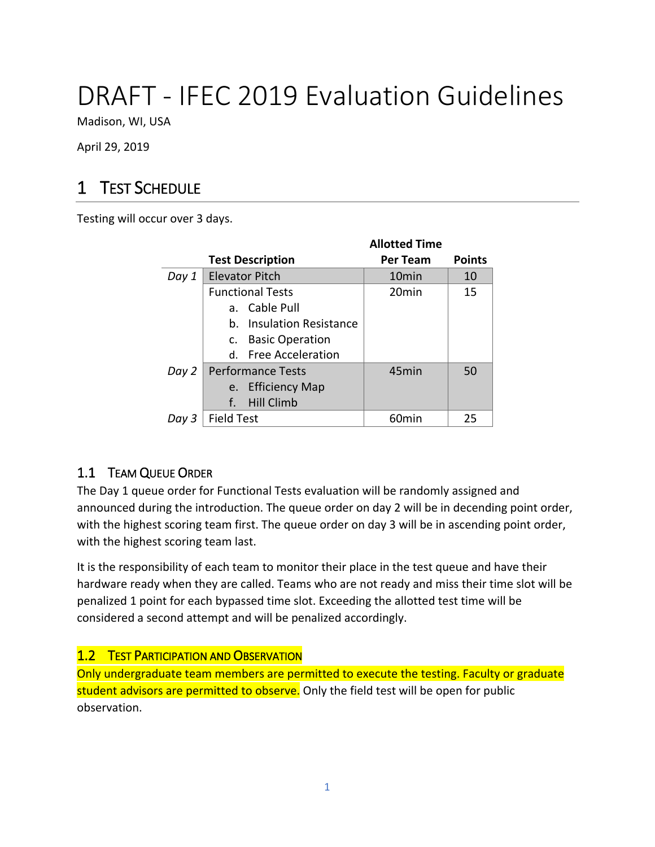# DRAFT - IFEC 2019 Evaluation Guidelines

Madison, WI, USA

April 29, 2019

# 1 TEST SCHEDULE

Testing will occur over 3 days.

|       |                          | <b>Allotted Time</b> |               |
|-------|--------------------------|----------------------|---------------|
|       | <b>Test Description</b>  | <b>Per Team</b>      | <b>Points</b> |
| Day 1 | <b>Elevator Pitch</b>    | 10 <sub>min</sub>    | 10            |
|       | <b>Functional Tests</b>  | 20 <sub>min</sub>    | 15            |
|       | a. Cable Pull            |                      |               |
|       | b. Insulation Resistance |                      |               |
|       | c. Basic Operation       |                      |               |
|       | d. Free Acceleration     |                      |               |
| Day 2 | Performance Tests        | 45 <sub>min</sub>    | 50            |
|       | e. Efficiency Map        |                      |               |
|       | f.<br><b>Hill Climb</b>  |                      |               |
| Day 3 | <b>Field Test</b>        | 60min                | 25            |

# 1.1 TEAM QUEUE ORDER

The Day 1 queue order for Functional Tests evaluation will be randomly assigned and announced during the introduction. The queue order on day 2 will be in decending point order, with the highest scoring team first. The queue order on day 3 will be in ascending point order, with the highest scoring team last.

It is the responsibility of each team to monitor their place in the test queue and have their hardware ready when they are called. Teams who are not ready and miss their time slot will be penalized 1 point for each bypassed time slot. Exceeding the allotted test time will be considered a second attempt and will be penalized accordingly.

# **1.2 TEST PARTICIPATION AND OBSERVATION**

Only undergraduate team members are permitted to execute the testing. Faculty or graduate student advisors are permitted to observe. Only the field test will be open for public observation.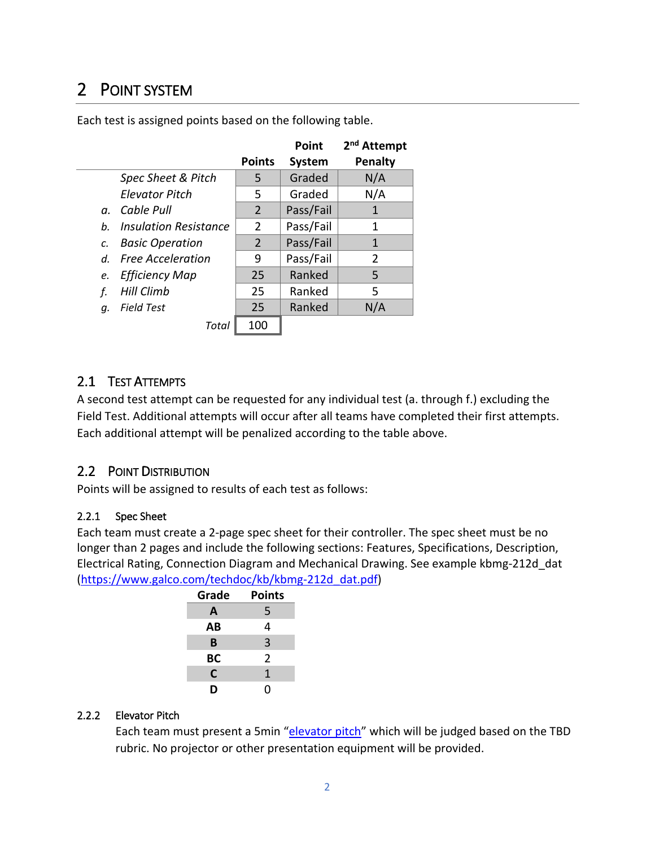# 2 POINT SYSTEM

|             |                          |                | Point     | 2 <sup>nd</sup> Attempt |
|-------------|--------------------------|----------------|-----------|-------------------------|
|             |                          | <b>Points</b>  | System    | <b>Penalty</b>          |
|             | Spec Sheet & Pitch       | 5              | Graded    | N/A                     |
|             | <b>Elevator Pitch</b>    | 5              | Graded    | N/A                     |
|             | a. Cable Pull            | $\overline{2}$ | Pass/Fail |                         |
| b.          | Insulation Resistance    | $\overline{2}$ | Pass/Fail | 1                       |
| c.          | <b>Basic Operation</b>   | $\overline{2}$ | Pass/Fail | $\mathbf{1}$            |
| $d_{\cdot}$ | <b>Free Acceleration</b> | 9              | Pass/Fail | $\overline{2}$          |
| e.          | <b>Efficiency Map</b>    | 25             | Ranked    | 5                       |
| f.          | <b>Hill Climb</b>        | 25             | Ranked    | 5                       |
| q.          | <b>Field Test</b>        | 25             | Ranked    | N/A                     |
|             | Total                    | 100            |           |                         |

Each test is assigned points based on the following table.

# 2.1 TEST ATTEMPTS

A second test attempt can be requested for any individual test (a. through f.) excluding the Field Test. Additional attempts will occur after all teams have completed their first attempts. Each additional attempt will be penalized according to the table above.

# 2.2 POINT DISTRIBUTION

Points will be assigned to results of each test as follows:

#### 2.2.1 Spec Sheet

Each team must create a 2-page spec sheet for their controller. The spec sheet must be no longer than 2 pages and include the following sections: Features, Specifications, Description, Electrical Rating, Connection Diagram and Mechanical Drawing. See example kbmg-212d\_dat [\(https://www.galco.com/techdoc/kb/kbmg-212d\\_dat.pdf\)](https://www.galco.com/techdoc/kb/kbmg-212d_dat.pdf)

| Grade | <b>Points</b>  |
|-------|----------------|
| A     | 5              |
| AВ    | 4              |
| B     | 3              |
| ВC    | $\overline{2}$ |
| C     | 1              |
| D     | ი              |

#### 2.2.2 Elevator Pitch

Each team must present a 5min "[elevator](https://www.mindtools.com/pages/article/elevator-pitch.htm) pitch" which will be judged based on the TBD rubric. No projector or other presentation equipment will be provided.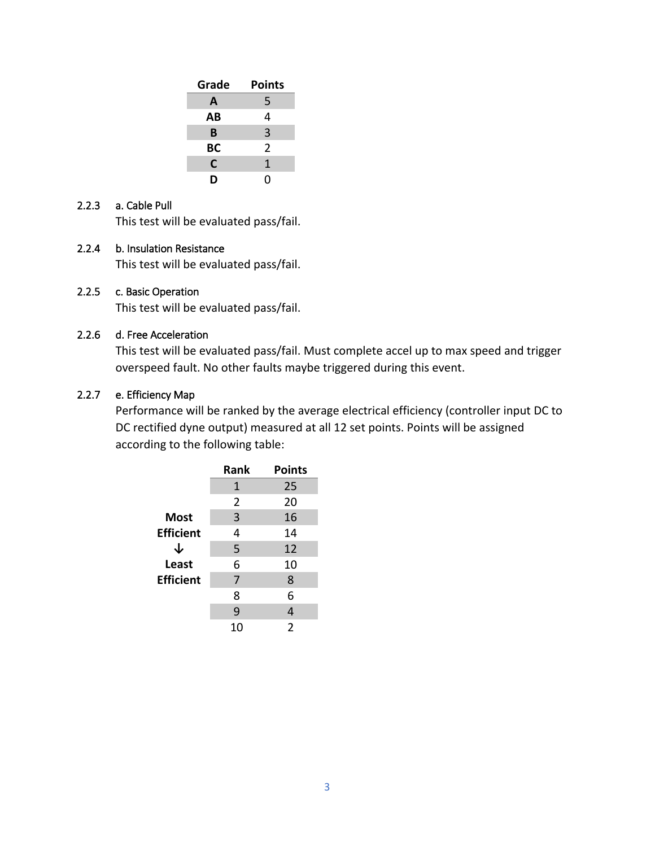| Grade | <b>Points</b>  |
|-------|----------------|
| A     | 5              |
| AВ    | 4              |
| в     | 3              |
| BC    | $\overline{2}$ |
| C     | 1              |
| D     | N              |

#### 2.2.3 a. Cable Pull

This test will be evaluated pass/fail.

#### 2.2.4 b. Insulation Resistance

This test will be evaluated pass/fail.

#### 2.2.5 c. Basic Operation

This test will be evaluated pass/fail.

#### 2.2.6 d. Free Acceleration

This test will be evaluated pass/fail. Must complete accel up to max speed and trigger overspeed fault. No other faults maybe triggered during this event.

#### 2.2.7 e. Efficiency Map

Performance will be ranked by the average electrical efficiency (controller input DC to DC rectified dyne output) measured at all 12 set points. Points will be assigned according to the following table:

|                  | Rank | <b>Points</b>  |
|------------------|------|----------------|
|                  | 1    | 25             |
|                  | 2    | 20             |
| <b>Most</b>      | 3    | 16             |
| <b>Efficient</b> | 4    | 14             |
| ↓                | 5    | 12             |
| Least            | 6    | 10             |
| <b>Efficient</b> | 7    | 8              |
|                  | 8    | 6              |
|                  | 9    | 4              |
|                  | 10   | $\overline{2}$ |